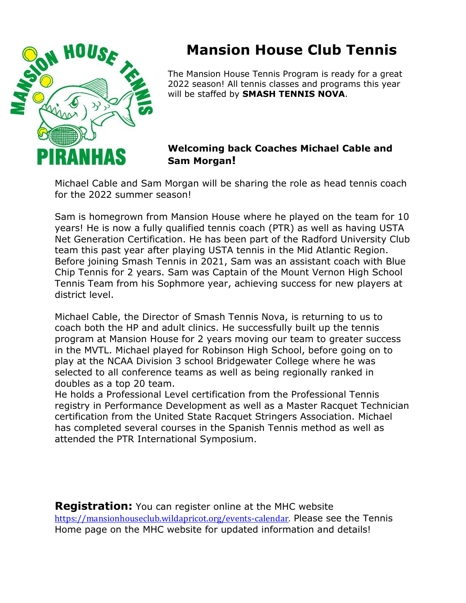

# **Mansion House Club Tennis**

The Mansion House Tennis Program is ready for a great 2022 season! All tennis classes and programs this year will be staffed by **SMASH TENNIS NOVA**.

# **Welcoming back Coaches Michael Cable and Sam Morgan!**

Michael Cable and Sam Morgan will be sharing the role as head tennis coach for the 2022 summer season!

Sam is homegrown from Mansion House where he played on the team for 10 years! He is now a fully qualified tennis coach (PTR) as well as having USTA Net Generation Certification. He has been part of the Radford University Club team this past year after playing USTA tennis in the Mid Atlantic Region. Before joining Smash Tennis in 2021, Sam was an assistant coach with Blue Chip Tennis for 2 years. Sam was Captain of the Mount Vernon High School Tennis Team from his Sophmore year, achieving success for new players at district level.

Michael Cable, the Director of Smash Tennis Nova, is returning to us to coach both the HP and adult clinics. He successfully built up the tennis program at Mansion House for 2 years moving our team to greater success in the MVTL. Michael played for Robinson High School, before going on to play at the NCAA Division 3 school Bridgewater College where he was selected to all conference teams as well as being regionally ranked in doubles as a top 20 team.

He holds a Professional Level certification from the Professional Tennis registry in Performance Development as well as a Master Racquet Technician certification from the United State Racquet Stringers Association. Michael has completed several courses in the Spanish Tennis method as well as attended the PTR International Symposium.

**Registration:** You can register online at the MHC website [https://mansionhouseclub.wildapricot.org/events-calendar.](https://mansionhouseclub.wildapricot.org/events-calendar) Please see the Tennis Home page on the MHC website for updated information and details!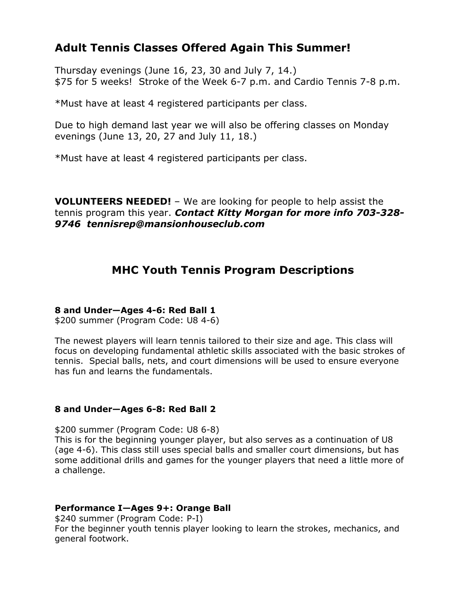# **Adult Tennis Classes Offered Again This Summer!**

Thursday evenings (June 16, 23, 30 and July 7, 14.) \$75 for 5 weeks! Stroke of the Week 6-7 p.m. and Cardio Tennis 7-8 p.m.

\*Must have at least 4 registered participants per class.

Due to high demand last year we will also be offering classes on Monday evenings (June 13, 20, 27 and July 11, 18.)

\*Must have at least 4 registered participants per class.

**VOLUNTEERS NEEDED!** – We are looking for people to help assist the tennis program this year. *Contact Kitty Morgan for more info 703-328- 9746 tennisrep@mansionhouseclub.com*

# **MHC Youth Tennis Program Descriptions**

# **8 and Under—Ages 4-6: Red Ball 1**

\$200 summer (Program Code: U8 4-6)

The newest players will learn tennis tailored to their size and age. This class will focus on developing fundamental athletic skills associated with the basic strokes of tennis. Special balls, nets, and court dimensions will be used to ensure everyone has fun and learns the fundamentals.

## **8 and Under—Ages 6-8: Red Ball 2**

\$200 summer (Program Code: U8 6-8) This is for the beginning younger player, but also serves as a continuation of U8 (age 4-6). This class still uses special balls and smaller court dimensions, but has some additional drills and games for the younger players that need a little more of a challenge.

## **Performance I—Ages 9+: Orange Ball**

\$240 summer (Program Code: P-I) For the beginner youth tennis player looking to learn the strokes, mechanics, and general footwork.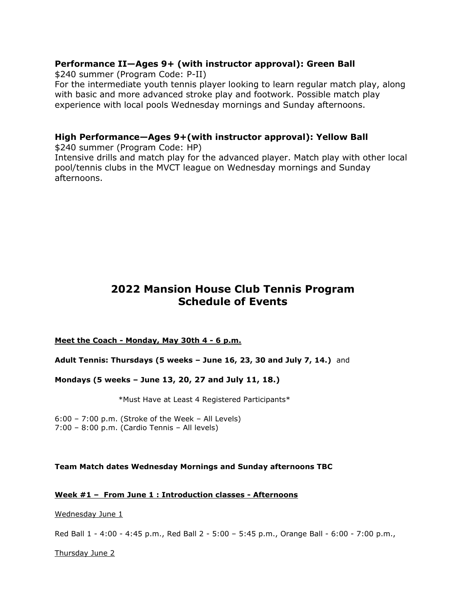## **Performance II—Ages 9+ (with instructor approval): Green Ball**

\$240 summer (Program Code: P-II)

For the intermediate youth tennis player looking to learn regular match play, along with basic and more advanced stroke play and footwork. Possible match play experience with local pools Wednesday mornings and Sunday afternoons.

## **High Performance—Ages 9+(with instructor approval): Yellow Ball**

\$240 summer (Program Code: HP) Intensive drills and match play for the advanced player. Match play with other local pool/tennis clubs in the MVCT league on Wednesday mornings and Sunday afternoons.

# **2022 Mansion House Club Tennis Program Schedule of Events**

#### **Meet the Coach - Monday, May 30th 4 - 6 p.m.**

#### **Adult Tennis: Thursdays (5 weeks – June 16, 23, 30 and July 7, 14.)** and

#### **Mondays (5 weeks – June 13, 20, 27 and July 11, 18.)**

\*Must Have at Least 4 Registered Participants\*

6:00 – 7:00 p.m. (Stroke of the Week – All Levels) 7:00 – 8:00 p.m. (Cardio Tennis – All levels)

#### **Team Match dates Wednesday Mornings and Sunday afternoons TBC**

#### **Week #1 – From June 1 : Introduction classes - Afternoons**

Wednesday June 1

Red Ball 1 - 4:00 - 4:45 p.m., Red Ball 2 - 5:00 – 5:45 p.m., Orange Ball - 6:00 - 7:00 p.m.,

Thursday June 2